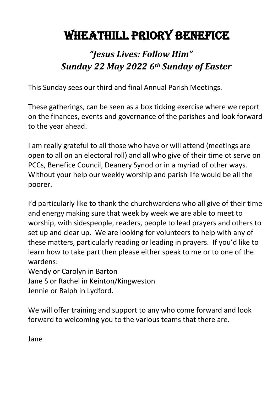# WHEATHILL PRIORY BENEFICE

## *"Jesus Lives: Follow Him" Sunday 22 May 2022 6th Sunday of Easter*

This Sunday sees our third and final Annual Parish Meetings.

These gatherings, can be seen as a box ticking exercise where we report on the finances, events and governance of the parishes and look forward to the year ahead.

I am really grateful to all those who have or will attend (meetings are open to all on an electoral roll) and all who give of their time ot serve on PCCs, Benefice Council, Deanery Synod or in a myriad of other ways. Without your help our weekly worship and parish life would be all the poorer.

I'd particularly like to thank the churchwardens who all give of their time and energy making sure that week by week we are able to meet to worship, with sidespeople, readers, people to lead prayers and others to set up and clear up. We are looking for volunteers to help with any of these matters, particularly reading or leading in prayers. If you'd like to learn how to take part then please either speak to me or to one of the wardens:

Wendy or Carolyn in Barton Jane S or Rachel in Keinton/Kingweston Jennie or Ralph in Lydford.

We will offer training and support to any who come forward and look forward to welcoming you to the various teams that there are.

Jane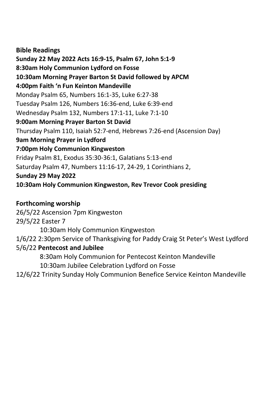**Bible Readings Sunday 22 May 2022 Acts 16:9-15, Psalm 67, John 5:1-9 8:30am Holy Communion Lydford on Fosse 10:30am Morning Prayer Barton St David followed by APCM 4:00pm Faith 'n Fun Keinton Mandeville** Monday Psalm 65, Numbers 16:1-35, Luke 6:27-38 Tuesday Psalm 126, Numbers 16:36-end, Luke 6:39-end Wednesday Psalm 132, Numbers 17:1-11, Luke 7:1-10 **9:00am Morning Prayer Barton St David** Thursday Psalm 110, Isaiah 52:7-end, Hebrews 7:26-end (Ascension Day) **9am Morning Prayer in Lydford 7:00pm Holy Communion Kingweston** Friday Psalm 81, Exodus 35:30-36:1, Galatians 5:13-end Saturday Psalm 47, Numbers 11:16-17, 24-29, 1 Corinthians 2, **Sunday 29 May 2022 10:30am Holy Communion Kingweston, Rev Trevor Cook presiding**

#### **Forthcoming worship**

26/5/22 Ascension 7pm Kingweston 29/5/22 Easter 7 10:30am Holy Communion Kingweston 1/6/22 2:30pm Service of Thanksgiving for Paddy Craig St Peter's West Lydford 5/6/22 **Pentecost and Jubilee** 8:30am Holy Communion for Pentecost Keinton Mandeville 10:30am Jubilee Celebration Lydford on Fosse

12/6/22 Trinity Sunday Holy Communion Benefice Service Keinton Mandeville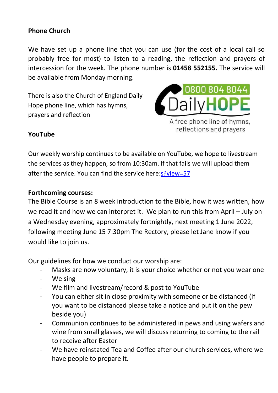#### **Phone Church**

We have set up a phone line that you can use (for the cost of a local call so probably free for most) to listen to a reading, the reflection and prayers of intercession for the week. The phone number is **01458 552155.** The service will be available from Monday morning.

There is also the Church of England Daily Hope phone line, which has hymns, prayers and reflection



#### **YouTube**

Our weekly worship continues to be available on YouTube, we hope to livestream the services as they happen, so from 10:30am. If that fails we will upload them after the service. You can find the service here: s?view=57

#### **Forthcoming courses:**

The Bible Course is an 8 week introduction to the Bible, how it was written, how we read it and how we can interpret it. We plan to run this from April – July on a Wednesday evening, approximately fortnightly, next meeting 1 June 2022, following meeting June 15 7:30pm The Rectory, please let Jane know if you would like to join us.

Our guidelines for how we conduct our worship are:

- Masks are now voluntary, it is your choice whether or not you wear one
- We sing
- We film and livestream/record & post to YouTube
- You can either sit in close proximity with someone or be distanced (if you want to be distanced please take a notice and put it on the pew beside you)
- Communion continues to be administered in pews and using wafers and wine from small glasses, we will discuss returning to coming to the rail to receive after Easter
- We have reinstated Tea and Coffee after our church services, where we have people to prepare it.